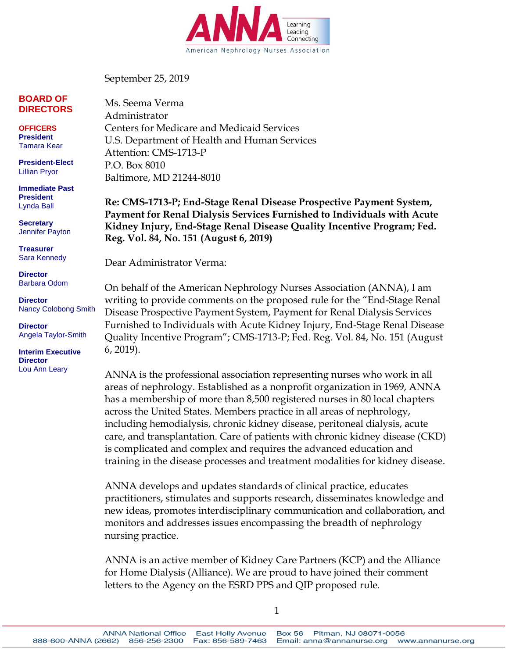

September 25, 2019

#### **BOARD OF DIRECTORS**

**OFFICERS President** Tamara Kear

**President-Elect** Lillian Pryor

**Immediate Past President** Lynda Ball

**Secretary** Jennifer Payton

**Treasurer** Sara Kennedy

**Director** Barbara Odom

**Director** Nancy Colobong Smith

**Director** Angela Taylor-Smith

**Interim Executive Director** Lou Ann Leary

Ms. Seema Verma Administrator Centers for Medicare and Medicaid Services U.S. Department of Health and Human Services Attention: CMS-1713-P P.O. Box 8010 Baltimore, MD 21244-8010

**Re: CMS-1713-P; End-Stage Renal Disease Prospective Payment System, Payment for Renal Dialysis Services Furnished to Individuals with Acute Kidney Injury, End-Stage Renal Disease Quality Incentive Program; Fed. Reg. Vol. 84, No. 151 (August 6, 2019)**

Dear Administrator Verma:

On behalf of the American Nephrology Nurses Association (ANNA), I am writing to provide comments on the proposed rule for the "End-Stage Renal Disease Prospective Payment System, Payment for Renal Dialysis Services Furnished to Individuals with Acute Kidney Injury, End-Stage Renal Disease Quality Incentive Program"; CMS-1713-P; Fed. Reg. Vol. 84, No. 151 (August 6, 2019).

ANNA is the professional association representing nurses who work in all areas of nephrology. Established as a nonprofit organization in 1969, ANNA has a membership of more than 8,500 registered nurses in 80 local chapters across the United States. Members practice in all areas of nephrology, including hemodialysis, chronic kidney disease, peritoneal dialysis, acute care, and transplantation. Care of patients with chronic kidney disease (CKD) is complicated and complex and requires the advanced education and training in the disease processes and treatment modalities for kidney disease.

ANNA develops and updates standards of clinical practice, educates practitioners, stimulates and supports research, disseminates knowledge and new ideas, promotes interdisciplinary communication and collaboration, and monitors and addresses issues encompassing the breadth of nephrology nursing practice.

ANNA is an active member of Kidney Care Partners (KCP) and the Alliance for Home Dialysis (Alliance). We are proud to have joined their comment letters to the Agency on the ESRD PPS and QIP proposed rule.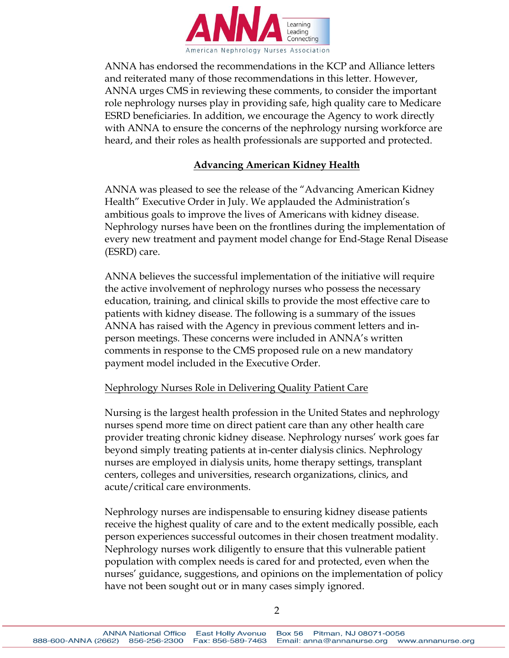

ANNA has endorsed the recommendations in the KCP and Alliance letters and reiterated many of those recommendations in this letter. However, ANNA urges CMS in reviewing these comments, to consider the important role nephrology nurses play in providing safe, high quality care to Medicare ESRD beneficiaries. In addition, we encourage the Agency to work directly with ANNA to ensure the concerns of the nephrology nursing workforce are heard, and their roles as health professionals are supported and protected.

# **Advancing American Kidney Health**

ANNA was pleased to see the release of the "Advancing American Kidney Health" Executive Order in July. We applauded the Administration's ambitious goals to improve the lives of Americans with kidney disease. Nephrology nurses have been on the frontlines during the implementation of every new treatment and payment model change for End-Stage Renal Disease (ESRD) care.

ANNA believes the successful implementation of the initiative will require the active involvement of nephrology nurses who possess the necessary education, training, and clinical skills to provide the most effective care to patients with kidney disease. The following is a summary of the issues ANNA has raised with the Agency in previous comment letters and inperson meetings. These concerns were included in ANNA's written comments in response to the CMS proposed rule on a new mandatory payment model included in the Executive Order.

### Nephrology Nurses Role in Delivering Quality Patient Care

Nursing is the largest health profession in the United States and nephrology nurses spend more time on direct patient care than any other health care provider treating chronic kidney disease. Nephrology nurses' work goes far beyond simply treating patients at in-center dialysis clinics. Nephrology nurses are employed in dialysis units, home therapy settings, transplant centers, colleges and universities, research organizations, clinics, and acute/critical care environments.

Nephrology nurses are indispensable to ensuring kidney disease patients receive the highest quality of care and to the extent medically possible, each person experiences successful outcomes in their chosen treatment modality. Nephrology nurses work diligently to ensure that this vulnerable patient population with complex needs is cared for and protected, even when the nurses' guidance, suggestions, and opinions on the implementation of policy have not been sought out or in many cases simply ignored.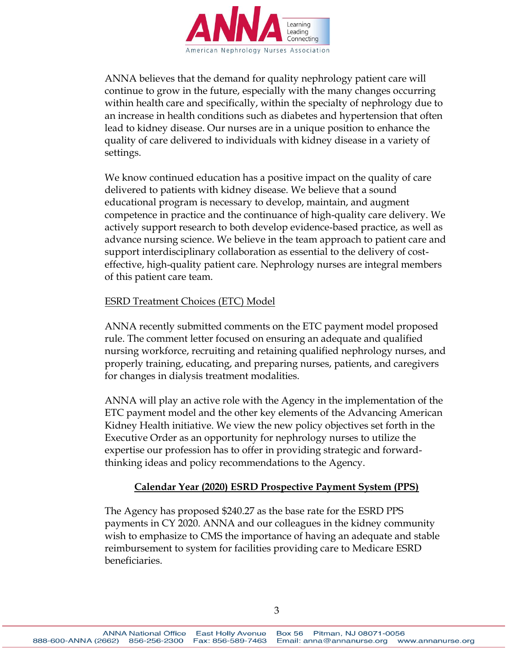

ANNA believes that the demand for quality nephrology patient care will continue to grow in the future, especially with the many changes occurring within health care and specifically, within the specialty of nephrology due to an increase in health conditions such as diabetes and hypertension that often lead to kidney disease. Our nurses are in a unique position to enhance the quality of care delivered to individuals with kidney disease in a variety of settings.

We know continued education has a positive impact on the quality of care delivered to patients with kidney disease. We believe that a sound educational program is necessary to develop, maintain, and augment competence in practice and the continuance of high-quality care delivery. We actively support research to both develop evidence-based practice, as well as advance nursing science. We believe in the team approach to patient care and support interdisciplinary collaboration as essential to the delivery of costeffective, high-quality patient care. Nephrology nurses are integral members of this patient care team.

### ESRD Treatment Choices (ETC) Model

ANNA recently submitted comments on the ETC payment model proposed rule. The comment letter focused on ensuring an adequate and qualified nursing workforce, recruiting and retaining qualified nephrology nurses, and properly training, educating, and preparing nurses, patients, and caregivers for changes in dialysis treatment modalities.

ANNA will play an active role with the Agency in the implementation of the ETC payment model and the other key elements of the Advancing American Kidney Health initiative. We view the new policy objectives set forth in the Executive Order as an opportunity for nephrology nurses to utilize the expertise our profession has to offer in providing strategic and forwardthinking ideas and policy recommendations to the Agency.

### **Calendar Year (2020) ESRD Prospective Payment System (PPS)**

The Agency has proposed \$240.27 as the base rate for the ESRD PPS payments in CY 2020. ANNA and our colleagues in the kidney community wish to emphasize to CMS the importance of having an adequate and stable reimbursement to system for facilities providing care to Medicare ESRD beneficiaries.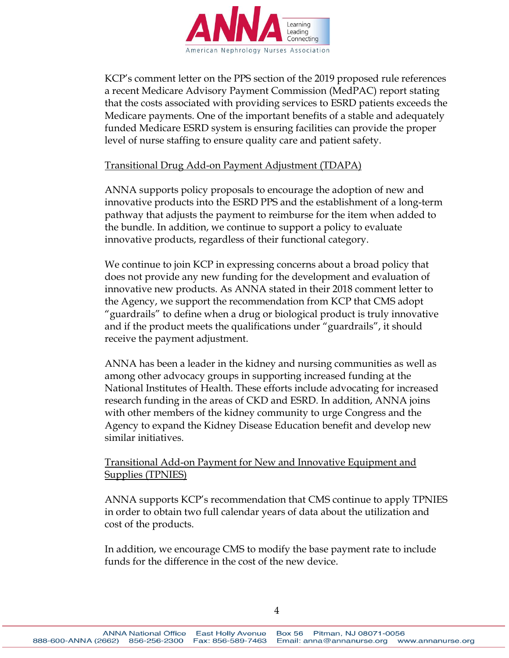

KCP's comment letter on the PPS section of the 2019 proposed rule references a recent Medicare Advisory Payment Commission (MedPAC) report stating that the costs associated with providing services to ESRD patients exceeds the Medicare payments. One of the important benefits of a stable and adequately funded Medicare ESRD system is ensuring facilities can provide the proper level of nurse staffing to ensure quality care and patient safety.

### Transitional Drug Add-on Payment Adjustment (TDAPA)

ANNA supports policy proposals to encourage the adoption of new and innovative products into the ESRD PPS and the establishment of a long-term pathway that adjusts the payment to reimburse for the item when added to the bundle. In addition, we continue to support a policy to evaluate innovative products, regardless of their functional category.

We continue to join KCP in expressing concerns about a broad policy that does not provide any new funding for the development and evaluation of innovative new products. As ANNA stated in their 2018 comment letter to the Agency, we support the recommendation from KCP that CMS adopt "guardrails" to define when a drug or biological product is truly innovative and if the product meets the qualifications under "guardrails", it should receive the payment adjustment.

ANNA has been a leader in the kidney and nursing communities as well as among other advocacy groups in supporting increased funding at the National Institutes of Health. These efforts include advocating for increased research funding in the areas of CKD and ESRD. In addition, ANNA joins with other members of the kidney community to urge Congress and the Agency to expand the Kidney Disease Education benefit and develop new similar initiatives.

# Transitional Add-on Payment for New and Innovative Equipment and Supplies (TPNIES)

ANNA supports KCP's recommendation that CMS continue to apply TPNIES in order to obtain two full calendar years of data about the utilization and cost of the products.

In addition, we encourage CMS to modify the base payment rate to include funds for the difference in the cost of the new device.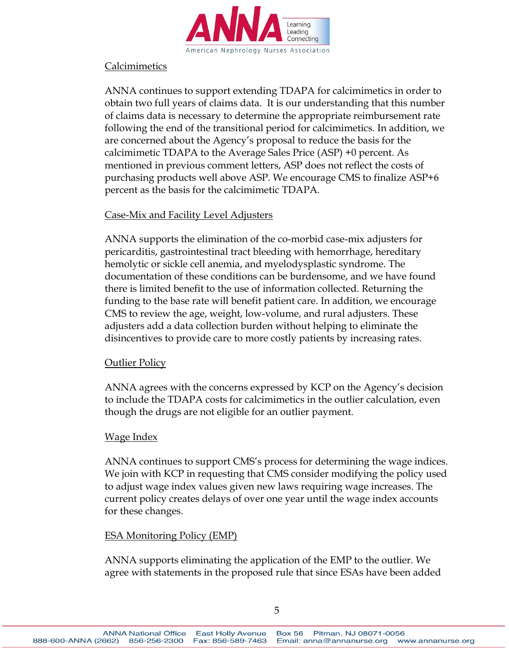

### Calcimimetics

ANNA continues to support extending TDAPA for calcimimetics in order to obtain two full years of claims data. It is our understanding that this number of claims data is necessary to determine the appropriate reimbursement rate following the end of the transitional period for calcimimetics. In addition, we are concerned about the Agency's proposal to reduce the basis for the calcimimetic TDAPA to the Average Sales Price (ASP) +0 percent. As mentioned in previous comment letters, ASP does not reflect the costs of purchasing products well above ASP. We encourage CMS to finalize ASP+6 percent as the basis for the calcimimetic TDAPA.

### Case-Mix and Facility Level Adjusters

ANNA supports the elimination of the co-morbid case-mix adjusters for pericarditis, gastrointestinal tract bleeding with hemorrhage, hereditary hemolytic or sickle cell anemia, and myelodysplastic syndrome. The documentation of these conditions can be burdensome, and we have found there is limited benefit to the use of information collected. Returning the funding to the base rate will benefit patient care. In addition, we encourage CMS to review the age, weight, low-volume, and rural adjusters. These adjusters add a data collection burden without helping to eliminate the disincentives to provide care to more costly patients by increasing rates.

### **Outlier Policy**

ANNA agrees with the concerns expressed by KCP on the Agency's decision to include the TDAPA costs for calcimimetics in the outlier calculation, even though the drugs are not eligible for an outlier payment.

# Wage Index

ANNA continues to support CMS's process for determining the wage indices. We join with KCP in requesting that CMS consider modifying the policy used to adjust wage index values given new laws requiring wage increases. The current policy creates delays of over one year until the wage index accounts for these changes.

### ESA Monitoring Policy (EMP)

ANNA supports eliminating the application of the EMP to the outlier. We agree with statements in the proposed rule that since ESAs have been added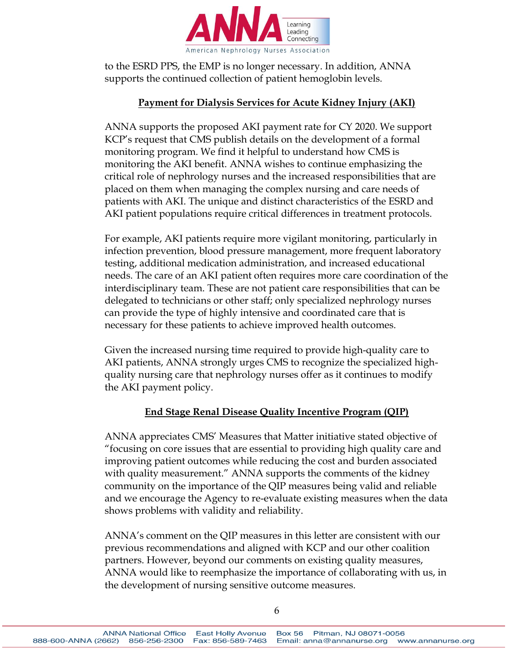

to the ESRD PPS, the EMP is no longer necessary. In addition, ANNA supports the continued collection of patient hemoglobin levels.

### **Payment for Dialysis Services for Acute Kidney Injury (AKI)**

ANNA supports the proposed AKI payment rate for CY 2020. We support KCP's request that CMS publish details on the development of a formal monitoring program. We find it helpful to understand how CMS is monitoring the AKI benefit. ANNA wishes to continue emphasizing the critical role of nephrology nurses and the increased responsibilities that are placed on them when managing the complex nursing and care needs of patients with AKI. The unique and distinct characteristics of the ESRD and AKI patient populations require critical differences in treatment protocols.

For example, AKI patients require more vigilant monitoring, particularly in infection prevention, blood pressure management, more frequent laboratory testing, additional medication administration, and increased educational needs. The care of an AKI patient often requires more care coordination of the interdisciplinary team. These are not patient care responsibilities that can be delegated to technicians or other staff; only specialized nephrology nurses can provide the type of highly intensive and coordinated care that is necessary for these patients to achieve improved health outcomes.

Given the increased nursing time required to provide high-quality care to AKI patients, ANNA strongly urges CMS to recognize the specialized highquality nursing care that nephrology nurses offer as it continues to modify the AKI payment policy.

# **End Stage Renal Disease Quality Incentive Program (QIP)**

ANNA appreciates CMS' Measures that Matter initiative stated objective of "focusing on core issues that are essential to providing high quality care and improving patient outcomes while reducing the cost and burden associated with quality measurement." ANNA supports the comments of the kidney community on the importance of the QIP measures being valid and reliable and we encourage the Agency to re-evaluate existing measures when the data shows problems with validity and reliability.

ANNA's comment on the QIP measures in this letter are consistent with our previous recommendations and aligned with KCP and our other coalition partners. However, beyond our comments on existing quality measures, ANNA would like to reemphasize the importance of collaborating with us, in the development of nursing sensitive outcome measures.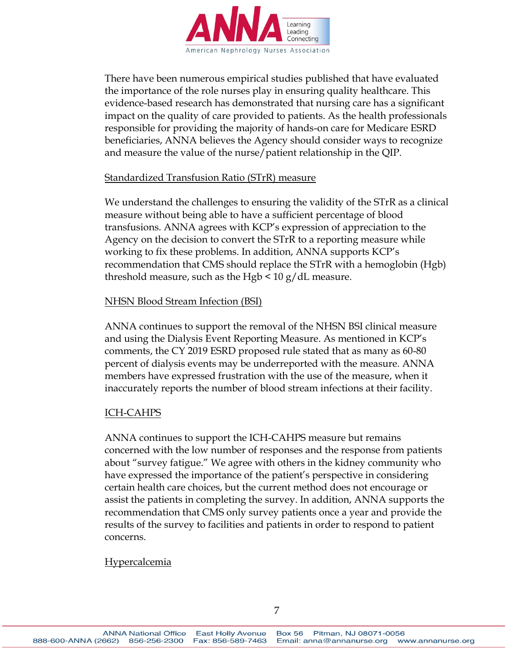

There have been numerous empirical studies published that have evaluated the importance of the role nurses play in ensuring quality healthcare. This evidence-based research has demonstrated that nursing care has a significant impact on the quality of care provided to patients. As the health professionals responsible for providing the majority of hands-on care for Medicare ESRD beneficiaries, ANNA believes the Agency should consider ways to recognize and measure the value of the nurse/patient relationship in the QIP.

### Standardized Transfusion Ratio (STrR) measure

We understand the challenges to ensuring the validity of the STrR as a clinical measure without being able to have a sufficient percentage of blood transfusions. ANNA agrees with KCP's expression of appreciation to the Agency on the decision to convert the STrR to a reporting measure while working to fix these problems. In addition, ANNA supports KCP's recommendation that CMS should replace the STrR with a hemoglobin (Hgb) threshold measure, such as the Hgb  $\leq 10$  g/dL measure.

### NHSN Blood Stream Infection (BSI)

ANNA continues to support the removal of the NHSN BSI clinical measure and using the Dialysis Event Reporting Measure. As mentioned in KCP's comments, the CY 2019 ESRD proposed rule stated that as many as 60-80 percent of dialysis events may be underreported with the measure. ANNA members have expressed frustration with the use of the measure, when it inaccurately reports the number of blood stream infections at their facility.

### ICH-CAHPS

ANNA continues to support the ICH-CAHPS measure but remains concerned with the low number of responses and the response from patients about "survey fatigue." We agree with others in the kidney community who have expressed the importance of the patient's perspective in considering certain health care choices, but the current method does not encourage or assist the patients in completing the survey. In addition, ANNA supports the recommendation that CMS only survey patients once a year and provide the results of the survey to facilities and patients in order to respond to patient concerns.

### Hypercalcemia